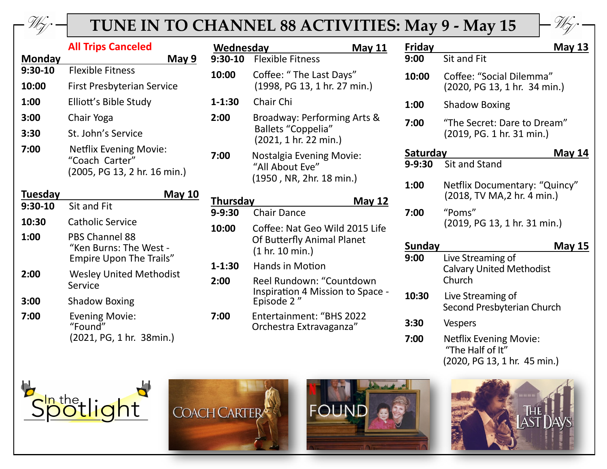

## **TUNE IN TO CHANNEL 88 ACTIVITIES: May 9 - May 15**



## **All Trips Canceled**

| <b>Monday</b>  | May                                                                             |
|----------------|---------------------------------------------------------------------------------|
| $9:30-10$      | <b>Flexible Fitness</b>                                                         |
| 10:00          | <b>First Presbyterian Service</b>                                               |
| 1:00           | Elliott's Bible Study                                                           |
| 3:00           | Chair Yoga                                                                      |
| 3:30           | St. John's Service                                                              |
| 7:00           | <b>Netflix Evening Movie:</b><br>"Coach Carter"<br>(2005, PG 13, 2 hr. 16 min.) |
| <b>Tuesday</b> | <b>May 10</b>                                                                   |
| $9:30-10$      | <b>Sit and Fit</b>                                                              |
| 10:30          | <b>Catholic Service</b>                                                         |
| 1:00           | PBS Channel 88<br>"Ken Burns: The West -                                        |

|            | Empire Upon The Trails"                   |
|------------|-------------------------------------------|
| 2:00       | <b>Wesley United Methodist</b><br>Service |
| <b>AAA</b> |                                           |

- **3:00** Shadow Boxing
- **7:00** Evening Movie: "Found" (2021, PG, 1 hr. 38min.)

| Wednesday<br>Ma <u>y 11</u> |                                                                                   |  |
|-----------------------------|-----------------------------------------------------------------------------------|--|
| $9:30-10$                   | <b>Flexible Fitness</b>                                                           |  |
| 10:00                       | Coffee: " The Last Days"<br>(1998, PG 13, 1 hr. 27 min.)                          |  |
| $1 - 1:30$                  | Chair Chi                                                                         |  |
| 2:00                        | Broadway: Performing Arts &<br><b>Ballets "Coppelia"</b><br>(2021, 1 hr. 22 min.) |  |
| 7:00                        | <b>Nostalgia Evening Movie:</b><br>"All About Eve"<br>(1950, NR, 2hr. 18 min.)    |  |
| Thursday                    |                                                                                   |  |
|                             | <b>May 12</b>                                                                     |  |
| $9 - 9:30$                  | <b>Chair Dance</b>                                                                |  |
| 10:00                       | Coffee: Nat Geo Wild 2015 Life<br>Of Butterfly Animal Planet<br>(1 hr. 10 min.)   |  |
| $1 - 1:30$                  | <b>Hands in Motion</b>                                                            |  |
| 2:00                        | Reel Rundown: "Countdown<br>Inspiration 4 Mission to Space -<br>Episode 2"        |  |

| <u>Friday</u>      | <b>May 13</b>                                                  |
|--------------------|----------------------------------------------------------------|
| 9:00               | <b>Sit and Fit</b>                                             |
| 10:00              | Coffee: "Social Dilemma"<br>(2020, PG 13, 1 hr. 34 min.)       |
| 1:00               | <b>Shadow Boxing</b>                                           |
| 7:00               | "The Secret: Dare to Dream"<br>(2019, PG. 1 hr. 31 min.)       |
| Saturday<br>May 14 |                                                                |
| 9-9:30             | Sit and Stand                                                  |
| 1:00               | Netflix Documentary: "Quincy"<br>(2018, TV MA, 2 hr. 4 min.)   |
| 7:00               | "Poms"<br>(2019, PG 13, 1 hr. 31 min.)                         |
| Sunday             | May 15                                                         |
| 9:00               | Live Streaming of<br><b>Calvary United Methodist</b><br>Church |

- **10:30** Live Streaming of Second Presbyterian Church
- **3:30** Vespers
- **7:00** Netflix Evening Movie: "The Half of It" (2020, PG 13, 1 hr. 45 min.)